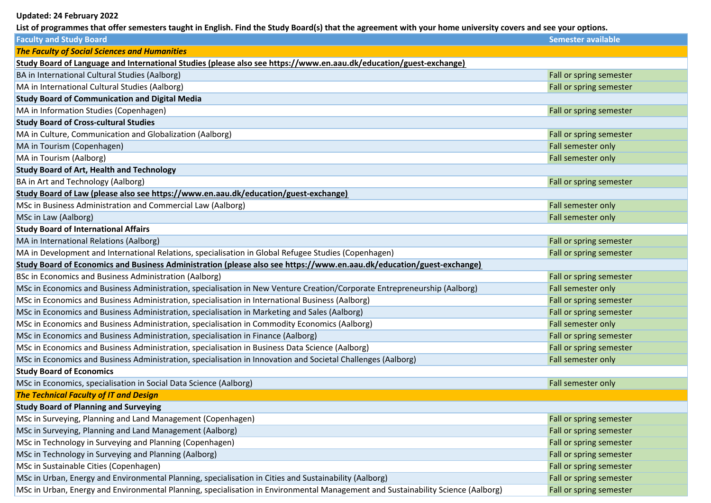## **Updated: 24 February 2022**

List of programmes that offer semesters taught in English. Find the Study Board(s) that the agreement with your home university covers and see your options.

| <b>Faculty and Study Board</b>                                                                                                   | <b>Semester available</b> |
|----------------------------------------------------------------------------------------------------------------------------------|---------------------------|
| <b>The Faculty of Social Sciences and Humanities</b>                                                                             |                           |
| Study Board of Language and International Studies (please also see https://www.en.aau.dk/education/guest-exchange)               |                           |
| BA in International Cultural Studies (Aalborg)                                                                                   | Fall or spring semester   |
| MA in International Cultural Studies (Aalborg)                                                                                   | Fall or spring semester   |
| <b>Study Board of Communication and Digital Media</b>                                                                            |                           |
| MA in Information Studies (Copenhagen)                                                                                           | Fall or spring semester   |
| <b>Study Board of Cross-cultural Studies</b>                                                                                     |                           |
| MA in Culture, Communication and Globalization (Aalborg)                                                                         | Fall or spring semester   |
| MA in Tourism (Copenhagen)                                                                                                       | Fall semester only        |
| MA in Tourism (Aalborg)                                                                                                          | Fall semester only        |
| <b>Study Board of Art, Health and Technology</b>                                                                                 |                           |
| <b>BA in Art and Technology (Aalborg)</b>                                                                                        | Fall or spring semester   |
| Study Board of Law (please also see https://www.en.aau.dk/education/guest-exchange)                                              |                           |
| MSc in Business Administration and Commercial Law (Aalborg)                                                                      | Fall semester only        |
| MSc in Law (Aalborg)                                                                                                             | Fall semester only        |
| <b>Study Board of International Affairs</b>                                                                                      |                           |
| MA in International Relations (Aalborg)                                                                                          | Fall or spring semester   |
| MA in Development and International Relations, specialisation in Global Refugee Studies (Copenhagen)                             | Fall or spring semester   |
| Study Board of Economics and Business Administration (please also see https://www.en.aau.dk/education/guest-exchange)            |                           |
| BSc in Economics and Business Administration (Aalborg)                                                                           | Fall or spring semester   |
| MSc in Economics and Business Administration, specialisation in New Venture Creation/Corporate Entrepreneurship (Aalborg)        | Fall semester only        |
| MSc in Economics and Business Administration, specialisation in International Business (Aalborg)                                 | Fall or spring semester   |
| MSc in Economics and Business Administration, specialisation in Marketing and Sales (Aalborg)                                    | Fall or spring semester   |
| MSc in Economics and Business Administration, specialisation in Commodity Economics (Aalborg)                                    | Fall semester only        |
| MSc in Economics and Business Administration, specialisation in Finance (Aalborg)                                                | Fall or spring semester   |
| MSc in Economics and Business Administration, specialisation in Business Data Science (Aalborg)                                  | Fall or spring semester   |
| MSc in Economics and Business Administration, specialisation in Innovation and Societal Challenges (Aalborg)                     | Fall semester only        |
| <b>Study Board of Economics</b>                                                                                                  |                           |
| MSc in Economics, specialisation in Social Data Science (Aalborg)                                                                | Fall semester only        |
| <b>The Technical Faculty of IT and Design</b>                                                                                    |                           |
| <b>Study Board of Planning and Surveying</b>                                                                                     |                           |
| MSc in Surveying, Planning and Land Management (Copenhagen)                                                                      | Fall or spring semester   |
| MSc in Surveying, Planning and Land Management (Aalborg)                                                                         | Fall or spring semester   |
| MSc in Technology in Surveying and Planning (Copenhagen)                                                                         | Fall or spring semester   |
| MSc in Technology in Surveying and Planning (Aalborg)                                                                            | Fall or spring semester   |
| MSc in Sustainable Cities (Copenhagen)                                                                                           | Fall or spring semester   |
| MSc in Urban, Energy and Environmental Planning, specialisation in Cities and Sustainability (Aalborg)                           | Fall or spring semester   |
| MSc in Urban, Energy and Environmental Planning, specialisation in Environmental Management and Sustainability Science (Aalborg) | Fall or spring semester   |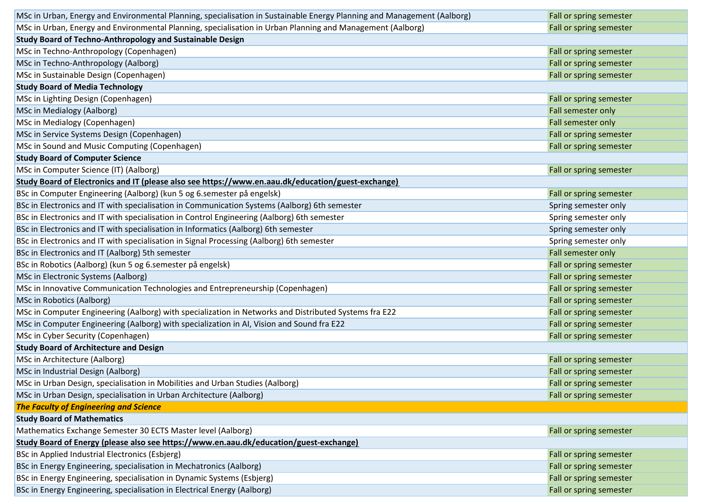| MSc in Urban, Energy and Environmental Planning, specialisation in Sustainable Energy Planning and Management (Aalborg) | Fall or spring semester |
|-------------------------------------------------------------------------------------------------------------------------|-------------------------|
| MSc in Urban, Energy and Environmental Planning, specialisation in Urban Planning and Management (Aalborg)              | Fall or spring semester |
| Study Board of Techno-Anthropology and Sustainable Design                                                               |                         |
| MSc in Techno-Anthropology (Copenhagen)                                                                                 | Fall or spring semester |
| MSc in Techno-Anthropology (Aalborg)                                                                                    | Fall or spring semester |
| MSc in Sustainable Design (Copenhagen)                                                                                  | Fall or spring semester |
| <b>Study Board of Media Technology</b>                                                                                  |                         |
| MSc in Lighting Design (Copenhagen)                                                                                     | Fall or spring semester |
| MSc in Medialogy (Aalborg)                                                                                              | Fall semester only      |
| MSc in Medialogy (Copenhagen)                                                                                           | Fall semester only      |
| MSc in Service Systems Design (Copenhagen)                                                                              | Fall or spring semester |
| MSc in Sound and Music Computing (Copenhagen)                                                                           | Fall or spring semester |
| <b>Study Board of Computer Science</b>                                                                                  |                         |
| MSc in Computer Science (IT) (Aalborg)                                                                                  | Fall or spring semester |
| Study Board of Electronics and IT (please also see https://www.en.aau.dk/education/guest-exchange)                      |                         |
| BSc in Computer Engineering (Aalborg) (kun 5 og 6.semester på engelsk)                                                  | Fall or spring semester |
| BSc in Electronics and IT with specialisation in Communication Systems (Aalborg) 6th semester                           | Spring semester only    |
| BSc in Electronics and IT with specialisation in Control Engineering (Aalborg) 6th semester                             | Spring semester only    |
| BSc in Electronics and IT with specialisation in Informatics (Aalborg) 6th semester                                     | Spring semester only    |
| BSc in Electronics and IT with specialisation in Signal Processing (Aalborg) 6th semester                               | Spring semester only    |
| BSc in Electronics and IT (Aalborg) 5th semester                                                                        | Fall semester only      |
| BSc in Robotics (Aalborg) (kun 5 og 6.semester på engelsk)                                                              | Fall or spring semester |
| MSc in Electronic Systems (Aalborg)                                                                                     | Fall or spring semester |
| MSc in Innovative Communication Technologies and Entrepreneurship (Copenhagen)                                          | Fall or spring semester |
| MSc in Robotics (Aalborg)                                                                                               | Fall or spring semester |
| MSc in Computer Engineering (Aalborg) with specialization in Networks and Distributed Systems fra E22                   | Fall or spring semester |
| MSc in Computer Engineering (Aalborg) with specialization in AI, Vision and Sound fra E22                               | Fall or spring semester |
| MSc in Cyber Security (Copenhagen)                                                                                      | Fall or spring semester |
| <b>Study Board of Architecture and Design</b>                                                                           |                         |
| MSc in Architecture (Aalborg)                                                                                           | Fall or spring semester |
| MSc in Industrial Design (Aalborg)                                                                                      | Fall or spring semester |
| MSc in Urban Design, specialisation in Mobilities and Urban Studies (Aalborg)                                           | Fall or spring semester |
| MSc in Urban Design, specialisation in Urban Architecture (Aalborg)                                                     | Fall or spring semester |
| <b>The Faculty of Engineering and Science</b>                                                                           |                         |
| <b>Study Board of Mathematics</b>                                                                                       |                         |
| Mathematics Exchange Semester 30 ECTS Master level (Aalborg)                                                            | Fall or spring semester |
| Study Board of Energy (please also see https://www.en.aau.dk/education/guest-exchange)                                  |                         |
| BSc in Applied Industrial Electronics (Esbjerg)                                                                         | Fall or spring semester |
| BSc in Energy Engineering, specialisation in Mechatronics (Aalborg)                                                     | Fall or spring semester |
| BSc in Energy Engineering, specialisation in Dynamic Systems (Esbjerg)                                                  | Fall or spring semester |
| BSc in Energy Engineering, specialisation in Electrical Energy (Aalborg)                                                | Fall or spring semester |